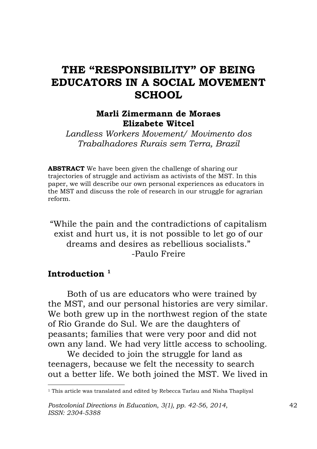# **THE "RESPONSIBILITY" OF BEING EDUCATORS IN A SOCIAL MOVEMENT SCHOOL**

#### **Marli Zimermann de Moraes Elizabete Witcel**

*Landless Workers Movement/ Movimento dos Trabalhadores Rurais sem Terra, Brazil*

**ABSTRACT** We have been given the challenge of sharing our trajectories of struggle and activism as activists of the MST. In this paper, we will describe our own personal experiences as educators in the MST and discuss the role of research in our struggle for agrarian reform.

"While the pain and the contradictions of capitalism exist and hurt us, it is not possible to let go of our dreams and desires as rebellious socialists." -Paulo Freire

#### **Introduction <sup>1</sup>**

 $\overline{a}$ 

Both of us are educators who were trained by the MST, and our personal histories are very similar. We both grew up in the northwest region of the state of Rio Grande do Sul. We are the daughters of peasants; families that were very poor and did not own any land. We had very little access to schooling.

We decided to join the struggle for land as teenagers, because we felt the necessity to search out a better life. We both joined the MST. We lived in

<sup>&</sup>lt;sup>1</sup> This article was translated and edited by Rebecca Tarlau and Nisha Thapliyal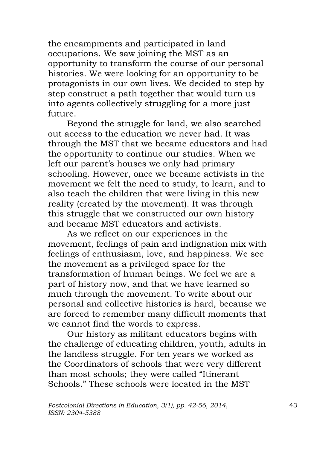the encampments and participated in land occupations. We saw joining the MST as an opportunity to transform the course of our personal histories. We were looking for an opportunity to be protagonists in our own lives. We decided to step by step construct a path together that would turn us into agents collectively struggling for a more just future.

Beyond the struggle for land, we also searched out access to the education we never had. It was through the MST that we became educators and had the opportunity to continue our studies. When we left our parent's houses we only had primary schooling. However, once we became activists in the movement we felt the need to study, to learn, and to also teach the children that were living in this new reality (created by the movement). It was through this struggle that we constructed our own history and became MST educators and activists.

As we reflect on our experiences in the movement, feelings of pain and indignation mix with feelings of enthusiasm, love, and happiness. We see the movement as a privileged space for the transformation of human beings. We feel we are a part of history now, and that we have learned so much through the movement. To write about our personal and collective histories is hard, because we are forced to remember many difficult moments that we cannot find the words to express.

Our history as militant educators begins with the challenge of educating children, youth, adults in the landless struggle. For ten years we worked as the Coordinators of schools that were very different than most schools; they were called "Itinerant Schools." These schools were located in the MST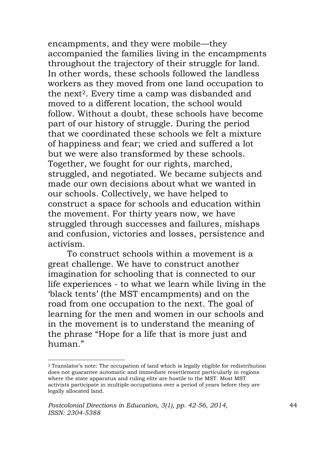encampments, and they were mobile—they accompanied the families living in the encampments throughout the trajectory of their struggle for land. In other words, these schools followed the landless workers as they moved from one land occupation to the next<sup>2</sup>. Every time a camp was disbanded and moved to a different location, the school would follow. Without a doubt, these schools have become part of our history of struggle. During the period that we coordinated these schools we felt a mixture of happiness and fear; we cried and suffered a lot but we were also transformed by these schools. Together, we fought for our rights, marched, struggled, and negotiated. We became subjects and made our own decisions about what we wanted in our schools. Collectively, we have helped to construct a space for schools and education within the movement. For thirty years now, we have struggled through successes and failures, mishaps and confusion, victories and losses, persistence and activism.

To construct schools within a movement is a great challenge. We have to construct another imagination for schooling that is connected to our life experiences - to what we learn while living in the 'black tents' (the MST encampments) and on the road from one occupation to the next. The goal of learning for the men and women in our schools and in the movement is to understand the meaning of the phrase "Hope for a life that is more just and human."

 $\overline{a}$ 

<sup>2</sup> Translator's note: The occupation of land which is legally eligible for redistribution does not guarantee automatic and immediate resettlement particularly in regions where the state apparatus and ruling elite are hostile to the MST. Most MST activists participate in multiple occupations over a period of years before they are legally allocated land.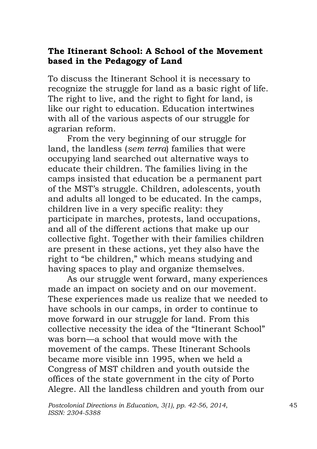# **The Itinerant School: A School of the Movement based in the Pedagogy of Land**

To discuss the Itinerant School it is necessary to recognize the struggle for land as a basic right of life. The right to live, and the right to fight for land, is like our right to education. Education intertwines with all of the various aspects of our struggle for agrarian reform.

From the very beginning of our struggle for land, the landless (*sem terra*) families that were occupying land searched out alternative ways to educate their children. The families living in the camps insisted that education be a permanent part of the MST's struggle. Children, adolescents, youth and adults all longed to be educated. In the camps, children live in a very specific reality: they participate in marches, protests, land occupations, and all of the different actions that make up our collective fight. Together with their families children are present in these actions, yet they also have the right to "be children," which means studying and having spaces to play and organize themselves.

As our struggle went forward, many experiences made an impact on society and on our movement. These experiences made us realize that we needed to have schools in our camps, in order to continue to move forward in our struggle for land. From this collective necessity the idea of the "Itinerant School" was born—a school that would move with the movement of the camps. These Itinerant Schools became more visible inn 1995, when we held a Congress of MST children and youth outside the offices of the state government in the city of Porto Alegre. All the landless children and youth from our

*Postcolonial Directions in Education*, *3(1), pp. 42-56*, *2014*, 45 *ISSN: 2304-5388*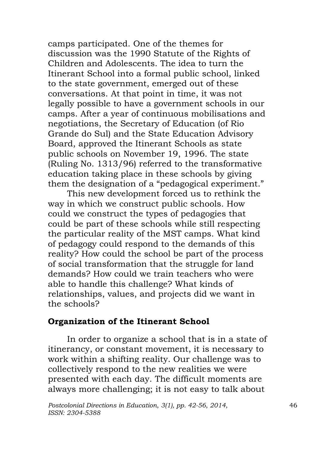camps participated. One of the themes for discussion was the 1990 Statute of the Rights of Children and Adolescents. The idea to turn the Itinerant School into a formal public school, linked to the state government, emerged out of these conversations. At that point in time, it was not legally possible to have a government schools in our camps. After a year of continuous mobilisations and negotiations, the Secretary of Education (of Rio Grande do Sul) and the State Education Advisory Board, approved the Itinerant Schools as state public schools on November 19, 1996. The state (Ruling No. 1313/96) referred to the transformative education taking place in these schools by giving them the designation of a "pedagogical experiment."

This new development forced us to rethink the way in which we construct public schools. How could we construct the types of pedagogies that could be part of these schools while still respecting the particular reality of the MST camps. What kind of pedagogy could respond to the demands of this reality? How could the school be part of the process of social transformation that the struggle for land demands? How could we train teachers who were able to handle this challenge? What kinds of relationships, values, and projects did we want in the schools?

### **Organization of the Itinerant School**

In order to organize a school that is in a state of itinerancy, or constant movement, it is necessary to work within a shifting reality. Our challenge was to collectively respond to the new realities we were presented with each day. The difficult moments are always more challenging; it is not easy to talk about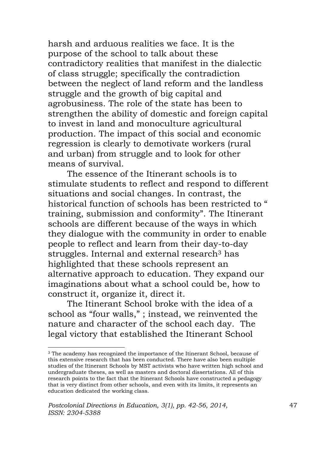harsh and arduous realities we face. It is the purpose of the school to talk about these contradictory realities that manifest in the dialectic of class struggle; specifically the contradiction between the neglect of land reform and the landless struggle and the growth of big capital and agrobusiness. The role of the state has been to strengthen the ability of domestic and foreign capital to invest in land and monoculture agricultural production. The impact of this social and economic regression is clearly to demotivate workers (rural and urban) from struggle and to look for other means of survival.

The essence of the Itinerant schools is to stimulate students to reflect and respond to different situations and social changes. In contrast, the historical function of schools has been restricted to " training, submission and conformity". The Itinerant schools are different because of the ways in which they dialogue with the community in order to enable people to reflect and learn from their day-to-day struggles. Internal and external research<sup>3</sup> has highlighted that these schools represent an alternative approach to education. They expand our imaginations about what a school could be, how to construct it, organize it, direct it.

The Itinerant School broke with the idea of a school as "four walls," ; instead, we reinvented the nature and character of the school each day. The legal victory that established the Itinerant School

 $\overline{a}$ 

<sup>3</sup> The academy has recognized the importance of the Itinerant School, because of this extensive research that has been conducted. There have also been multiple studies of the Itinerant Schools by MST activists who have written high school and undergraduate theses, as well as masters and doctoral dissertations. All of this research points to the fact that the Itinerant Schools have constructed a pedagogy that is very distinct from other schools, and even with its limits, it represents an education dedicated the working class.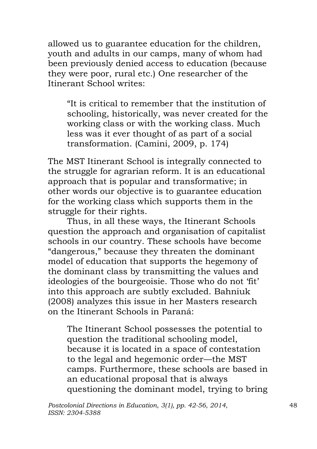allowed us to guarantee education for the children, youth and adults in our camps, many of whom had been previously denied access to education (because they were poor, rural etc.) One researcher of the Itinerant School writes:

"It is critical to remember that the institution of schooling, historically, was never created for the working class or with the working class. Much less was it ever thought of as part of a social transformation. (Camini, 2009, p. 174)

The MST Itinerant School is integrally connected to the struggle for agrarian reform. It is an educational approach that is popular and transformative; in other words our objective is to guarantee education for the working class which supports them in the struggle for their rights.

Thus, in all these ways, the Itinerant Schools question the approach and organisation of capitalist schools in our country. These schools have become "dangerous," because they threaten the dominant model of education that supports the hegemony of the dominant class by transmitting the values and ideologies of the bourgeoisie. Those who do not 'fit' into this approach are subtly excluded. Bahniuk (2008) analyzes this issue in her Masters research on the Itinerant Schools in Paraná:

The Itinerant School possesses the potential to question the traditional schooling model, because it is located in a space of contestation to the legal and hegemonic order—the MST camps. Furthermore, these schools are based in an educational proposal that is always questioning the dominant model, trying to bring

*Postcolonial Directions in Education*, *3(1), pp. 42-56*, *2014*, 48 *ISSN: 2304-5388*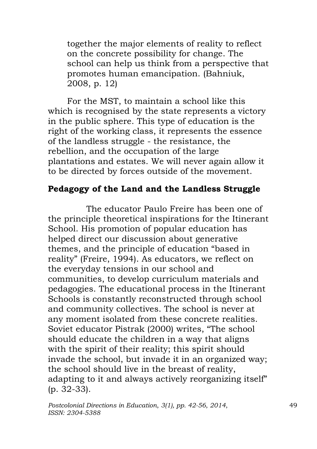together the major elements of reality to reflect on the concrete possibility for change. The school can help us think from a perspective that promotes human emancipation. (Bahniuk, 2008, p. 12)

For the MST, to maintain a school like this which is recognised by the state represents a victory in the public sphere. This type of education is the right of the working class, it represents the essence of the landless struggle - the resistance, the rebellion, and the occupation of the large plantations and estates. We will never again allow it to be directed by forces outside of the movement.

# **Pedagogy of the Land and the Landless Struggle**

The educator Paulo Freire has been one of the principle theoretical inspirations for the Itinerant School. His promotion of popular education has helped direct our discussion about generative themes, and the principle of education "based in reality" (Freire, 1994). As educators, we reflect on the everyday tensions in our school and communities, to develop curriculum materials and pedagogies. The educational process in the Itinerant Schools is constantly reconstructed through school and community collectives. The school is never at any moment isolated from these concrete realities. Soviet educator Pistrak (2000) writes, "The school should educate the children in a way that aligns with the spirit of their reality; this spirit should invade the school, but invade it in an organized way; the school should live in the breast of reality, adapting to it and always actively reorganizing itself" (p. 32-33).

*Postcolonial Directions in Education*, *3(1), pp. 42-56*, *2014*, 49 *ISSN: 2304-5388*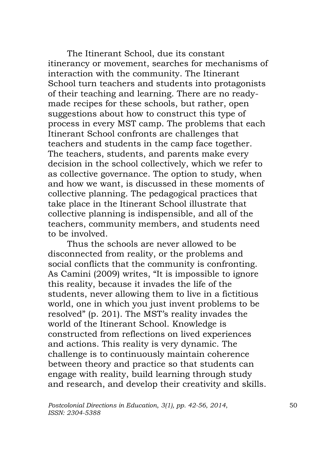The Itinerant School, due its constant itinerancy or movement, searches for mechanisms of interaction with the community. The Itinerant School turn teachers and students into protagonists of their teaching and learning. There are no readymade recipes for these schools, but rather, open suggestions about how to construct this type of process in every MST camp. The problems that each Itinerant School confronts are challenges that teachers and students in the camp face together. The teachers, students, and parents make every decision in the school collectively, which we refer to as collective governance. The option to study, when and how we want, is discussed in these moments of collective planning. The pedagogical practices that take place in the Itinerant School illustrate that collective planning is indispensible, and all of the teachers, community members, and students need to be involved.

Thus the schools are never allowed to be disconnected from reality, or the problems and social conflicts that the community is confronting. As Camini (2009) writes, "It is impossible to ignore this reality, because it invades the life of the students, never allowing them to live in a fictitious world, one in which you just invent problems to be resolved" (p. 201). The MST's reality invades the world of the Itinerant School. Knowledge is constructed from reflections on lived experiences and actions. This reality is very dynamic. The challenge is to continuously maintain coherence between theory and practice so that students can engage with reality, build learning through study and research, and develop their creativity and skills.

*Postcolonial Directions in Education*, *3(1), pp. 42-56*, *2014*, 50 *ISSN: 2304-5388*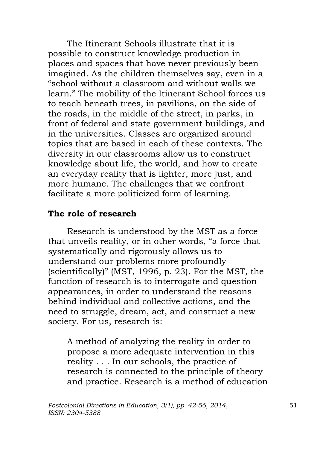The Itinerant Schools illustrate that it is possible to construct knowledge production in places and spaces that have never previously been imagined. As the children themselves say, even in a "school without a classroom and without walls we learn." The mobility of the Itinerant School forces us to teach beneath trees, in pavilions, on the side of the roads, in the middle of the street, in parks, in front of federal and state government buildings, and in the universities. Classes are organized around topics that are based in each of these contexts. The diversity in our classrooms allow us to construct knowledge about life, the world, and how to create an everyday reality that is lighter, more just, and more humane. The challenges that we confront facilitate a more politicized form of learning.

# **The role of research**

Research is understood by the MST as a force that unveils reality, or in other words, "a force that systematically and rigorously allows us to understand our problems more profoundly (scientifically)" (MST, 1996, p. 23). For the MST, the function of research is to interrogate and question appearances, in order to understand the reasons behind individual and collective actions, and the need to struggle, dream, act, and construct a new society. For us, research is:

A method of analyzing the reality in order to propose a more adequate intervention in this reality . . . In our schools, the practice of research is connected to the principle of theory and practice. Research is a method of education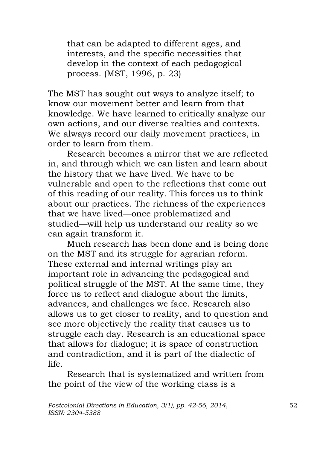that can be adapted to different ages, and interests, and the specific necessities that develop in the context of each pedagogical process. (MST, 1996, p. 23)

The MST has sought out ways to analyze itself; to know our movement better and learn from that knowledge. We have learned to critically analyze our own actions, and our diverse realties and contexts. We always record our daily movement practices, in order to learn from them.

Research becomes a mirror that we are reflected in, and through which we can listen and learn about the history that we have lived. We have to be vulnerable and open to the reflections that come out of this reading of our reality. This forces us to think about our practices. The richness of the experiences that we have lived—once problematized and studied—will help us understand our reality so we can again transform it.

Much research has been done and is being done on the MST and its struggle for agrarian reform. These external and internal writings play an important role in advancing the pedagogical and political struggle of the MST. At the same time, they force us to reflect and dialogue about the limits, advances, and challenges we face. Research also allows us to get closer to reality, and to question and see more objectively the reality that causes us to struggle each day. Research is an educational space that allows for dialogue; it is space of construction and contradiction, and it is part of the dialectic of life.

Research that is systematized and written from the point of the view of the working class is a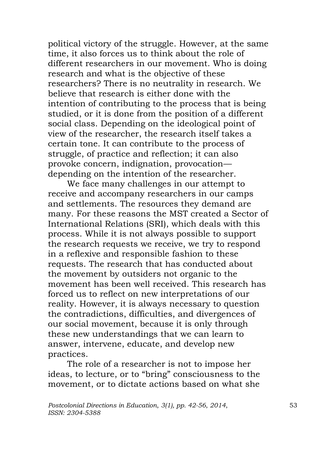political victory of the struggle. However, at the same time, it also forces us to think about the role of different researchers in our movement. Who is doing research and what is the objective of these researchers? There is no neutrality in research. We believe that research is either done with the intention of contributing to the process that is being studied, or it is done from the position of a different social class. Depending on the ideological point of view of the researcher, the research itself takes a certain tone. It can contribute to the process of struggle, of practice and reflection; it can also provoke concern, indignation, provocation depending on the intention of the researcher.

We face many challenges in our attempt to receive and accompany researchers in our camps and settlements. The resources they demand are many. For these reasons the MST created a Sector of International Relations (SRI), which deals with this process. While it is not always possible to support the research requests we receive, we try to respond in a reflexive and responsible fashion to these requests. The research that has conducted about the movement by outsiders not organic to the movement has been well received. This research has forced us to reflect on new interpretations of our reality. However, it is always necessary to question the contradictions, difficulties, and divergences of our social movement, because it is only through these new understandings that we can learn to answer, intervene, educate, and develop new practices.

The role of a researcher is not to impose her ideas, to lecture, or to "bring" consciousness to the movement, or to dictate actions based on what she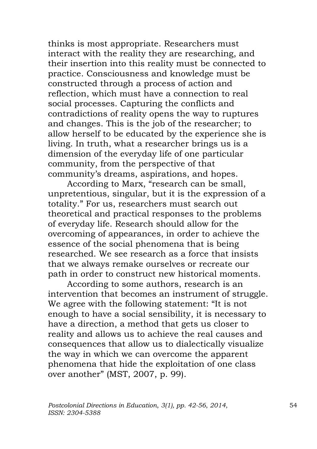thinks is most appropriate. Researchers must interact with the reality they are researching, and their insertion into this reality must be connected to practice. Consciousness and knowledge must be constructed through a process of action and reflection, which must have a connection to real social processes. Capturing the conflicts and contradictions of reality opens the way to ruptures and changes. This is the job of the researcher; to allow herself to be educated by the experience she is living. In truth, what a researcher brings us is a dimension of the everyday life of one particular community, from the perspective of that community's dreams, aspirations, and hopes.

According to Marx, "research can be small, unpretentious, singular, but it is the expression of a totality." For us, researchers must search out theoretical and practical responses to the problems of everyday life. Research should allow for the overcoming of appearances, in order to achieve the essence of the social phenomena that is being researched. We see research as a force that insists that we always remake ourselves or recreate our path in order to construct new historical moments.

According to some authors, research is an intervention that becomes an instrument of struggle. We agree with the following statement: "It is not enough to have a social sensibility, it is necessary to have a direction, a method that gets us closer to reality and allows us to achieve the real causes and consequences that allow us to dialectically visualize the way in which we can overcome the apparent phenomena that hide the exploitation of one class over another" (MST, 2007, p. 99).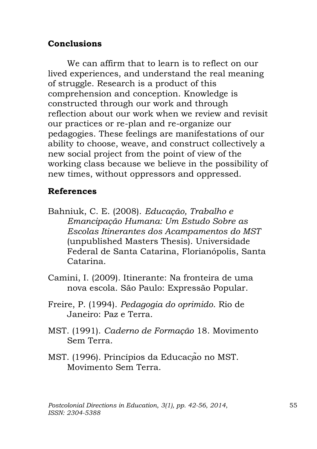# **Conclusions**

We can affirm that to learn is to reflect on our lived experiences, and understand the real meaning of struggle. Research is a product of this comprehension and conception. Knowledge is constructed through our work and through reflection about our work when we review and revisit our practices or re-plan and re-organize our pedagogies. These feelings are manifestations of our ability to choose, weave, and construct collectively a new social project from the point of view of the working class because we believe in the possibility of new times, without oppressors and oppressed.

# **References**

- Bahniuk, C. E. (2008). *Educação, Trabalho e Emancipação Humana: Um Estudo Sobre as Escolas Itinerantes dos Acampamentos do MST* (unpublished Masters Thesis). Universidade Federal de Santa Catarina, Florianópolis, Santa Catarina.
- Camini, I. (2009). Itinerante: Na fronteira de uma nova escola. São Paulo: Expressão Popular.
- Freire, P. (1994). *Pedagogia do oprimido*. Rio de Janeiro: Paz e Terra.
- MST. (1991). *Caderno de Formação* 18. Movimento Sem Terra.
- MST. (1996). Princípios da Educação no MST. Movimento Sem Terra.